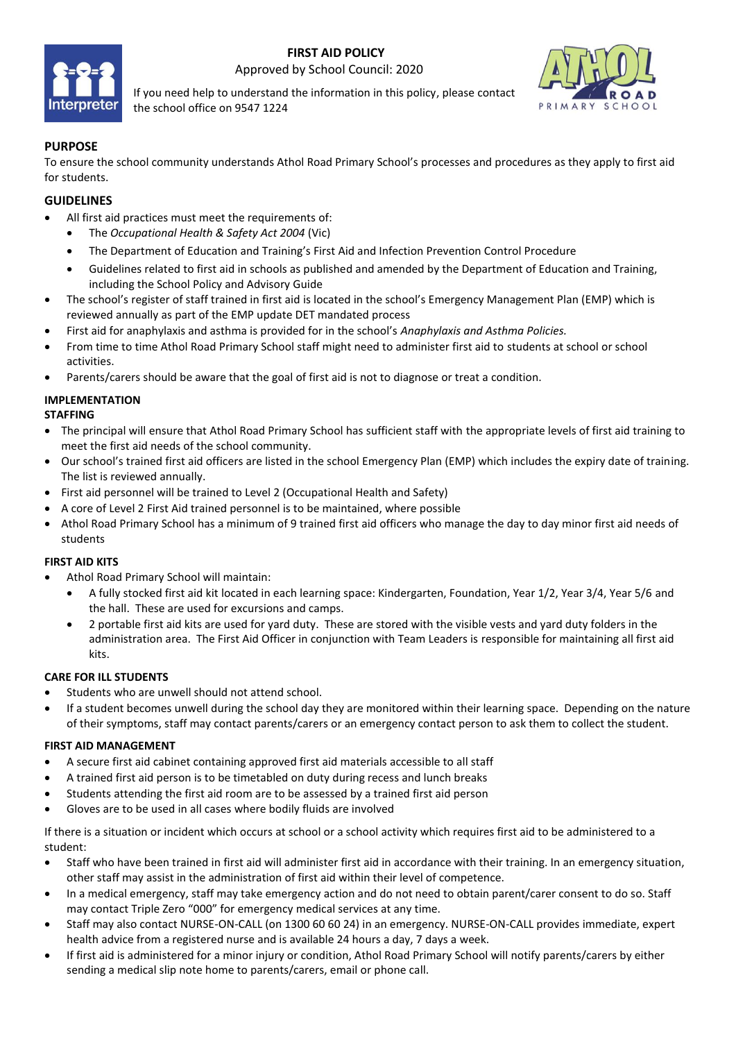

 **FIRST AID POLICY** Approved by School Council: 2020

If you need help to understand the information in this policy, please contact the school office on 9547 1224



### **PURPOSE**

To ensure the school community understands Athol Road Primary School's processes and procedures as they apply to first aid for students.

### **GUIDELINES**

- All first aid practices must meet the requirements of:
	- The *Occupational Health & Safety Act 2004* (Vic)
	- The Department of Education and Training's First Aid and Infection Prevention Control Procedure
	- Guidelines related to first aid in schools as published and amended by the Department of Education and Training, including the School Policy and Advisory Guide
- The school's register of staff trained in first aid is located in the school's Emergency Management Plan (EMP) which is reviewed annually as part of the EMP update DET mandated process
- First aid for anaphylaxis and asthma is provided for in the school's *Anaphylaxis and Asthma Policies.*
- From time to time Athol Road Primary School staff might need to administer first aid to students at school or school activities.
- Parents/carers should be aware that the goal of first aid is not to diagnose or treat a condition.

### **IMPLEMENTATION**

#### **STAFFING**

- The principal will ensure that Athol Road Primary School has sufficient staff with the appropriate levels of first aid training to meet the first aid needs of the school community.
- Our school's trained first aid officers are listed in the school Emergency Plan (EMP) which includes the expiry date of training. The list is reviewed annually.
- First aid personnel will be trained to Level 2 (Occupational Health and Safety)
- A core of Level 2 First Aid trained personnel is to be maintained, where possible
- Athol Road Primary School has a minimum of 9 trained first aid officers who manage the day to day minor first aid needs of students

#### **FIRST AID KITS**

- Athol Road Primary School will maintain:
	- A fully stocked first aid kit located in each learning space: Kindergarten, Foundation, Year 1/2, Year 3/4, Year 5/6 and the hall. These are used for excursions and camps.
	- 2 portable first aid kits are used for yard duty. These are stored with the visible vests and yard duty folders in the administration area. The First Aid Officer in conjunction with Team Leaders is responsible for maintaining all first aid kits.

#### **CARE FOR ILL STUDENTS**

- Students who are unwell should not attend school.
- If a student becomes unwell during the school day they are monitored within their learning space. Depending on the nature of their symptoms, staff may contact parents/carers or an emergency contact person to ask them to collect the student.

#### **FIRST AID MANAGEMENT**

- A secure first aid cabinet containing approved first aid materials accessible to all staff
- A trained first aid person is to be timetabled on duty during recess and lunch breaks
- Students attending the first aid room are to be assessed by a trained first aid person
- Gloves are to be used in all cases where bodily fluids are involved

If there is a situation or incident which occurs at school or a school activity which requires first aid to be administered to a student:

- Staff who have been trained in first aid will administer first aid in accordance with their training. In an emergency situation, other staff may assist in the administration of first aid within their level of competence.
- In a medical emergency, staff may take emergency action and do not need to obtain parent/carer consent to do so. Staff may contact Triple Zero "000" for emergency medical services at any time.
- Staff may also contact NURSE-ON-CALL (on 1300 60 60 24) in an emergency. NURSE-ON-CALL provides immediate, expert health advice from a registered nurse and is available 24 hours a day, 7 days a week.
- If first aid is administered for a minor injury or condition, Athol Road Primary School will notify parents/carers by either sending a medical slip note home to parents/carers, email or phone call.